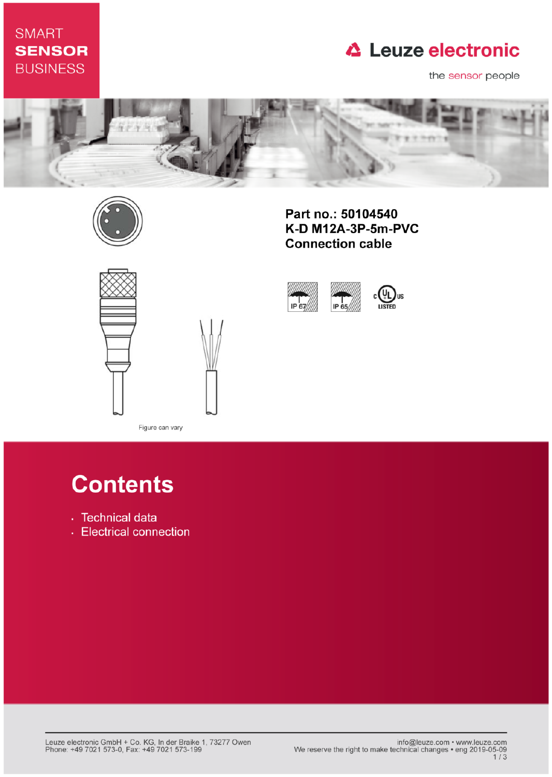## **SMART SENSOR BUSINESS**

# **△ Leuze electronic**

the sensor people





Part no.: 50104540 K-D M12A-3P-5m-PVC **Connection cable** 



Figure can vary

# **Contents**

- · Technical data
- Electrical connection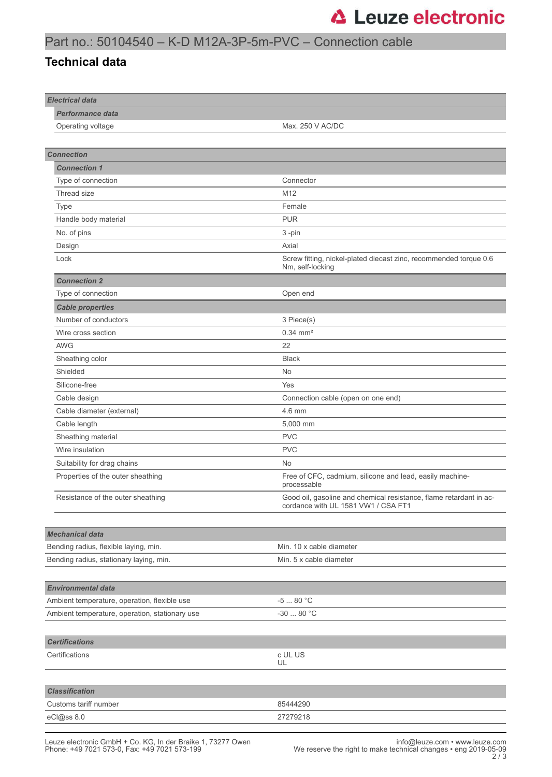## Part no.: 50104540 – K-D M12A-3P-5m-PVC – Connection cable

#### **Technical data**

| <b>Electrical data</b>                                                           |                                                                                                           |
|----------------------------------------------------------------------------------|-----------------------------------------------------------------------------------------------------------|
| <b>Performance data</b>                                                          |                                                                                                           |
| Operating voltage                                                                | Max. 250 V AC/DC                                                                                          |
|                                                                                  |                                                                                                           |
| <b>Connection</b>                                                                |                                                                                                           |
| <b>Connection 1</b>                                                              |                                                                                                           |
| Type of connection                                                               | Connector                                                                                                 |
| Thread size                                                                      | M12                                                                                                       |
| Type                                                                             | Female                                                                                                    |
| Handle body material                                                             | <b>PUR</b>                                                                                                |
| No. of pins                                                                      | 3-pin                                                                                                     |
| Design                                                                           | Axial                                                                                                     |
| Lock                                                                             | Screw fitting, nickel-plated diecast zinc, recommended torque 0.6<br>Nm, self-locking                     |
| <b>Connection 2</b>                                                              |                                                                                                           |
| Type of connection                                                               | Open end                                                                                                  |
| <b>Cable properties</b>                                                          |                                                                                                           |
| Number of conductors                                                             | 3 Piece(s)                                                                                                |
| Wire cross section                                                               | $0.34 \, \text{mm}^2$                                                                                     |
| <b>AWG</b>                                                                       | 22                                                                                                        |
| Sheathing color                                                                  | <b>Black</b>                                                                                              |
| Shielded                                                                         | <b>No</b>                                                                                                 |
| Silicone-free                                                                    | Yes                                                                                                       |
| Cable design                                                                     | Connection cable (open on one end)                                                                        |
| Cable diameter (external)                                                        | 4.6 mm                                                                                                    |
| Cable length                                                                     | 5,000 mm                                                                                                  |
| Sheathing material                                                               | <b>PVC</b>                                                                                                |
| Wire insulation                                                                  | <b>PVC</b>                                                                                                |
| Suitability for drag chains                                                      | No                                                                                                        |
| Properties of the outer sheathing                                                | Free of CFC, cadmium, silicone and lead, easily machine-<br>processable                                   |
| Resistance of the outer sheathing                                                | Good oil, gasoline and chemical resistance, flame retardant in ac-<br>cordance with UL 1581 VW1 / CSA FT1 |
|                                                                                  |                                                                                                           |
| <b>Mechanical data</b>                                                           |                                                                                                           |
| Bending radius, flexible laying, min.<br>Bending radius, stationary laying, min. | Min. 10 x cable diameter<br>Min. 5 x cable diameter                                                       |
|                                                                                  |                                                                                                           |
| <b>Environmental data</b>                                                        |                                                                                                           |
| Ambient temperature, operation, flexible use                                     | $-580 °C$                                                                                                 |
| Ambient temperature, operation, stationary use                                   | $-3080 °C$                                                                                                |
|                                                                                  |                                                                                                           |
| <b>Certifications</b>                                                            |                                                                                                           |
| Certifications                                                                   | c UL US<br>UL                                                                                             |
|                                                                                  |                                                                                                           |
| <b>Classification</b>                                                            |                                                                                                           |
| Customs tariff number                                                            | 85444290                                                                                                  |
| eCl@ss 8.0                                                                       | 27279218                                                                                                  |